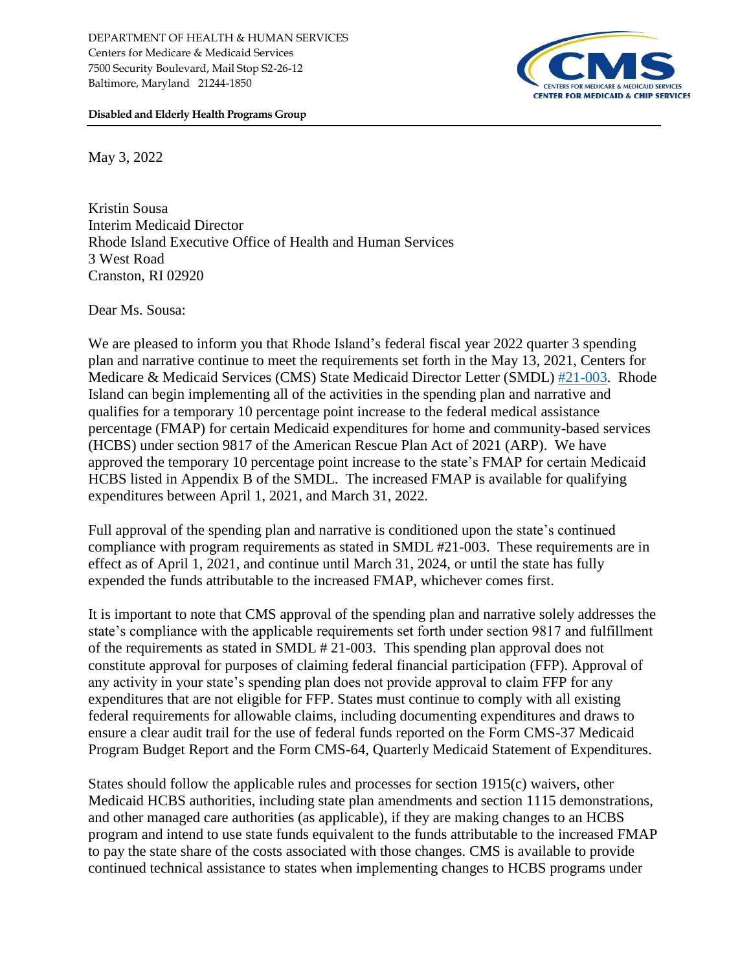

**Disabled and Elderly Health Programs Group**

May 3, 2022

Kristin Sousa Interim Medicaid Director Rhode Island Executive Office of Health and Human Services 3 West Road Cranston, RI 02920

Dear Ms. Sousa:

We are pleased to inform you that Rhode Island's federal fiscal year 2022 quarter 3 spending plan and narrative continue to meet the requirements set forth in the May 13, 2021, Centers for Medicare & Medicaid Services (CMS) State Medicaid Director Letter (SMDL) [#21-003.](https://www.medicaid.gov/federal-policy-guidance/downloads/smd21003.pdf) Rhode Island can begin implementing all of the activities in the spending plan and narrative and qualifies for a temporary 10 percentage point increase to the federal medical assistance percentage (FMAP) for certain Medicaid expenditures for home and community-based services (HCBS) under section 9817 of the American Rescue Plan Act of 2021 (ARP). We have approved the temporary 10 percentage point increase to the state's FMAP for certain Medicaid HCBS listed in Appendix B of the SMDL. The increased FMAP is available for qualifying expenditures between April 1, 2021, and March 31, 2022.

Full approval of the spending plan and narrative is conditioned upon the state's continued compliance with program requirements as stated in SMDL #21-003. These requirements are in effect as of April 1, 2021, and continue until March 31, 2024, or until the state has fully expended the funds attributable to the increased FMAP, whichever comes first.

It is important to note that CMS approval of the spending plan and narrative solely addresses the state's compliance with the applicable requirements set forth under section 9817 and fulfillment of the requirements as stated in SMDL # 21-003. This spending plan approval does not constitute approval for purposes of claiming federal financial participation (FFP). Approval of any activity in your state's spending plan does not provide approval to claim FFP for any expenditures that are not eligible for FFP. States must continue to comply with all existing federal requirements for allowable claims, including documenting expenditures and draws to ensure a clear audit trail for the use of federal funds reported on the Form CMS-37 Medicaid Program Budget Report and the Form CMS-64, Quarterly Medicaid Statement of Expenditures.

States should follow the applicable rules and processes for section 1915(c) waivers, other Medicaid HCBS authorities, including state plan amendments and section 1115 demonstrations, and other managed care authorities (as applicable), if they are making changes to an HCBS program and intend to use state funds equivalent to the funds attributable to the increased FMAP to pay the state share of the costs associated with those changes. CMS is available to provide continued technical assistance to states when implementing changes to HCBS programs under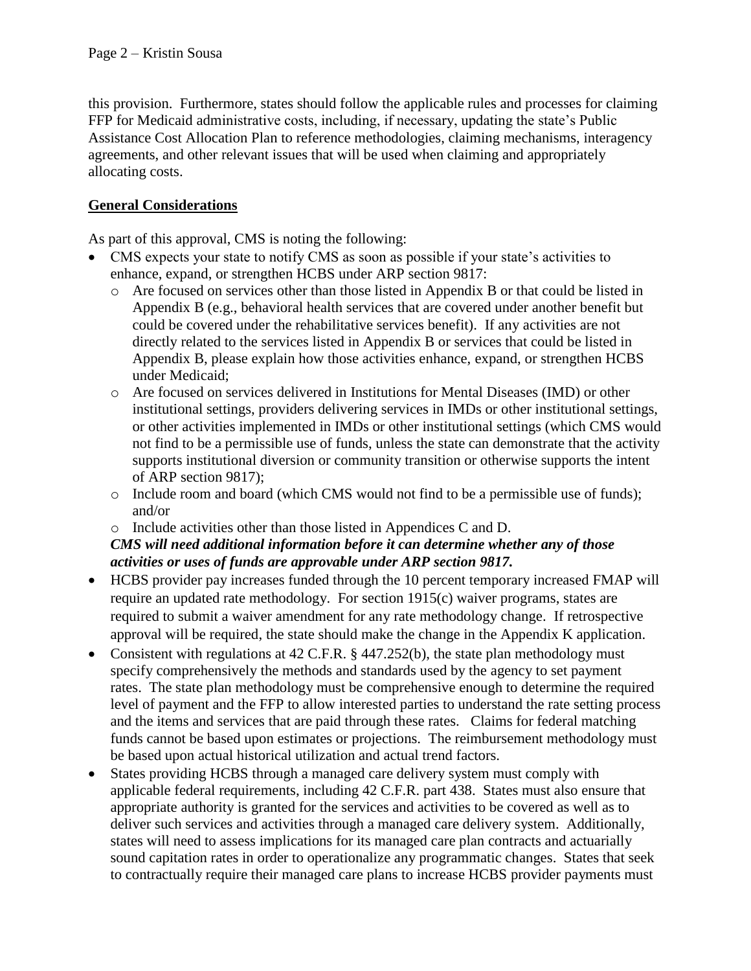this provision. Furthermore, states should follow the applicable rules and processes for claiming FFP for Medicaid administrative costs, including, if necessary, updating the state's Public Assistance Cost Allocation Plan to reference methodologies, claiming mechanisms, interagency agreements, and other relevant issues that will be used when claiming and appropriately allocating costs.

## **General Considerations**

As part of this approval, CMS is noting the following:

- CMS expects your state to notify CMS as soon as possible if your state's activities to enhance, expand, or strengthen HCBS under ARP section 9817:
	- o Are focused on services other than those listed in Appendix B or that could be listed in Appendix B (e.g., behavioral health services that are covered under another benefit but could be covered under the rehabilitative services benefit).If any activities are not directly related to the services listed in Appendix B or services that could be listed in Appendix B, please explain how those activities enhance, expand, or strengthen HCBS under Medicaid;
	- o Are focused on services delivered in Institutions for Mental Diseases (IMD) or other institutional settings, providers delivering services in IMDs or other institutional settings, or other activities implemented in IMDs or other institutional settings (which CMS would not find to be a permissible use of funds, unless the state can demonstrate that the activity supports institutional diversion or community transition or otherwise supports the intent of ARP section 9817);
	- o Include room and board (which CMS would not find to be a permissible use of funds); and/or
	- o Include activities other than those listed in Appendices C and D.

## *CMS will need additional information before it can determine whether any of those activities or uses of funds are approvable under ARP section 9817.*

- HCBS provider pay increases funded through the 10 percent temporary increased FMAP will require an updated rate methodology. For section 1915(c) waiver programs, states are required to submit a waiver amendment for any rate methodology change. If retrospective approval will be required, the state should make the change in the Appendix K application.
- Consistent with regulations at 42 C.F.R. § 447.252(b), the state plan methodology must specify comprehensively the methods and standards used by the agency to set payment rates. The state plan methodology must be comprehensive enough to determine the required level of payment and the FFP to allow interested parties to understand the rate setting process and the items and services that are paid through these rates. Claims for federal matching funds cannot be based upon estimates or projections. The reimbursement methodology must be based upon actual historical utilization and actual trend factors.
- States providing HCBS through a managed care delivery system must comply with applicable federal requirements, including 42 C.F.R. part 438. States must also ensure that appropriate authority is granted for the services and activities to be covered as well as to deliver such services and activities through a managed care delivery system. Additionally, states will need to assess implications for its managed care plan contracts and actuarially sound capitation rates in order to operationalize any programmatic changes. States that seek to contractually require their managed care plans to increase HCBS provider payments must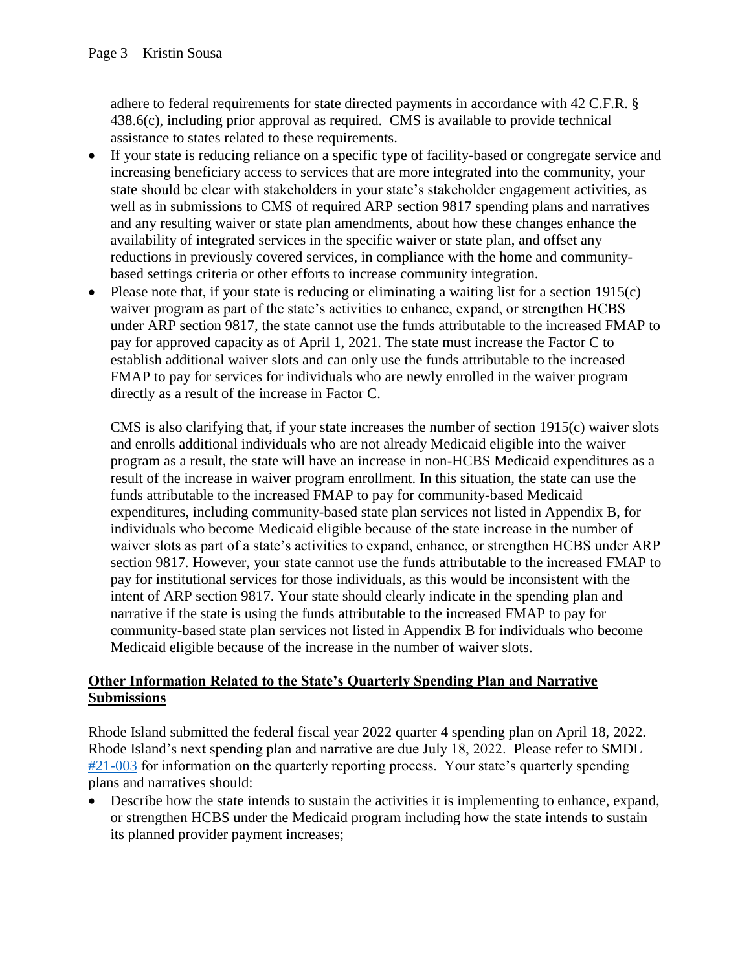adhere to federal requirements for state directed payments in accordance with 42 C.F.R. § 438.6(c), including prior approval as required. CMS is available to provide technical assistance to states related to these requirements.

- If your state is reducing reliance on a specific type of facility-based or congregate service and increasing beneficiary access to services that are more integrated into the community, your state should be clear with stakeholders in your state's stakeholder engagement activities, as well as in submissions to CMS of required ARP section 9817 spending plans and narratives and any resulting waiver or state plan amendments, about how these changes enhance the availability of integrated services in the specific waiver or state plan, and offset any reductions in previously covered services, in compliance with the home and communitybased settings criteria or other efforts to increase community integration.
- Please note that, if your state is reducing or eliminating a waiting list for a section 1915(c) waiver program as part of the state's activities to enhance, expand, or strengthen HCBS under ARP section 9817, the state cannot use the funds attributable to the increased FMAP to pay for approved capacity as of April 1, 2021. The state must increase the Factor C to establish additional waiver slots and can only use the funds attributable to the increased FMAP to pay for services for individuals who are newly enrolled in the waiver program directly as a result of the increase in Factor C.

CMS is also clarifying that, if your state increases the number of section 1915(c) waiver slots and enrolls additional individuals who are not already Medicaid eligible into the waiver program as a result, the state will have an increase in non-HCBS Medicaid expenditures as a result of the increase in waiver program enrollment. In this situation, the state can use the funds attributable to the increased FMAP to pay for community-based Medicaid expenditures, including community-based state plan services not listed in Appendix B, for individuals who become Medicaid eligible because of the state increase in the number of waiver slots as part of a state's activities to expand, enhance, or strengthen HCBS under ARP section 9817. However, your state cannot use the funds attributable to the increased FMAP to pay for institutional services for those individuals, as this would be inconsistent with the intent of ARP section 9817. Your state should clearly indicate in the spending plan and narrative if the state is using the funds attributable to the increased FMAP to pay for community-based state plan services not listed in Appendix B for individuals who become Medicaid eligible because of the increase in the number of waiver slots.

## **Other Information Related to the State's Quarterly Spending Plan and Narrative Submissions**

Rhode Island submitted the federal fiscal year 2022 quarter 4 spending plan on April 18, 2022. Rhode Island's next spending plan and narrative are due July 18, 2022. Please refer to SMDL [#21-003](https://www.medicaid.gov/federal-policy-guidance/downloads/smd21003.pdf) for information on the quarterly reporting process. Your state's quarterly spending plans and narratives should:

• Describe how the state intends to sustain the activities it is implementing to enhance, expand, or strengthen HCBS under the Medicaid program including how the state intends to sustain its planned provider payment increases;